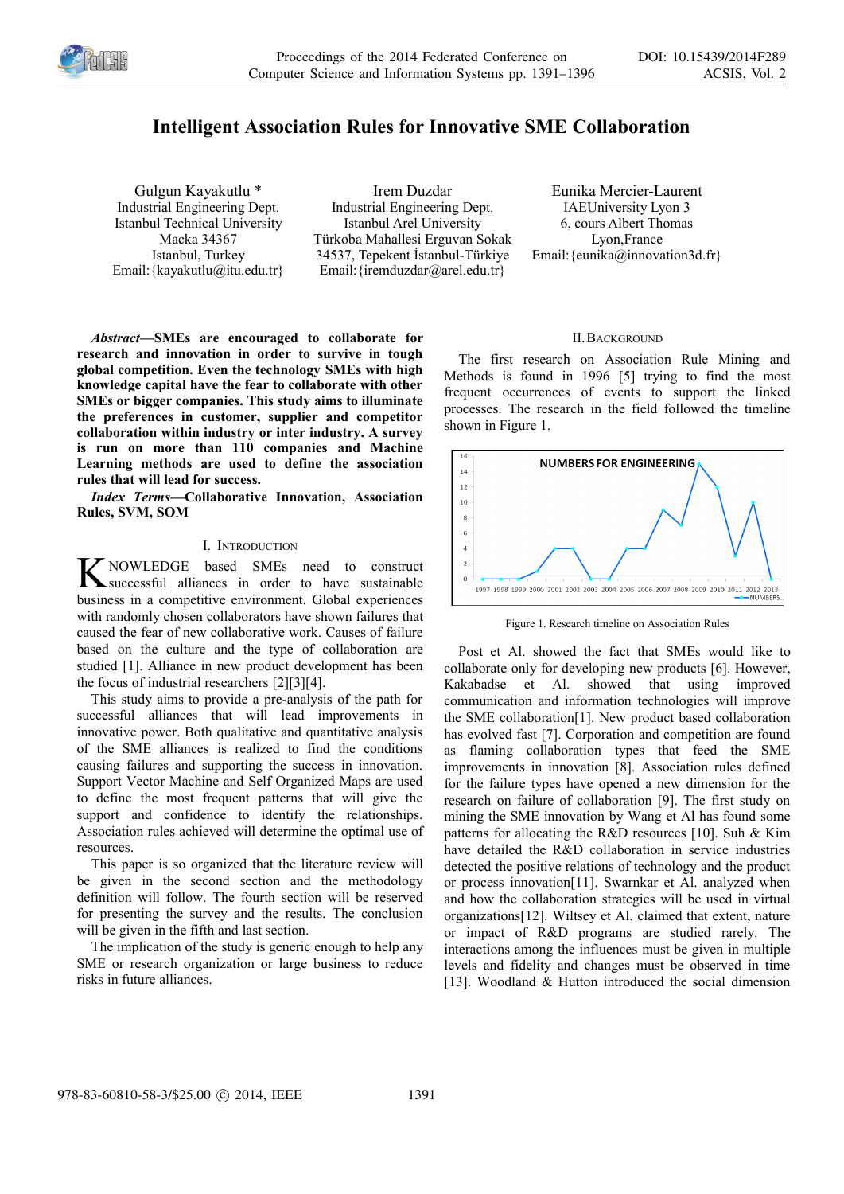

# **Intelligent Association Rules for Innovative SME Collaboration**

Gulgun Kayakutlu \* Industrial Engineering Dept. Istanbul Technical University Macka 34367 Istanbul, Turkey Email:{kayakutlu@itu.edu.tr}

Irem Duzdar Industrial Engineering Dept. Istanbul Arel University Türkoba Mahallesi Erguvan Sokak 34537, Tepekent İstanbul-Türkiye Email: {iremduzdar@arel.edu.tr}

Eunika Mercier-Laurent IAEUniversity Lyon 3 6, cours Albert Thomas Lyon,France Email: {eunika@innovation3d.fr}

## *Abstract***—SMEs are encouraged to collaborate for research and innovation in order to survive in tough global competition. Even the technology SMEs with high knowledge capital have the fear to collaborate with other SMEs or bigger companies. This study aims to illuminate the preferences in customer, supplier and competitor collaboration within industry or inter industry. A survey is run on more than 110 companies and Machine Learning methods are used to define the association rules that will lead for success.**

*Index Terms***—Collaborative Innovation, Association Rules, SVM, SOM**

#### I. INTRODUCTION

K NOWLEDGE based SMEs need to construct<br>
Successful alliances in order to have sustainable<br>
husiness in a commetitive oppinement Clabel superinope successful alliances in order to have sustainable business in a competitive environment. Global experiences with randomly chosen collaborators have shown failures that caused the fear of new collaborative work. Causes of failure based on the culture and the type of collaboration are studied [1]. Alliance in new product development has been the focus of industrial researchers [2][3][4].

This study aims to provide a pre-analysis of the path for successful alliances that will lead improvements in innovative power. Both qualitative and quantitative analysis of the SME alliances is realized to find the conditions causing failures and supporting the success in innovation. Support Vector Machine and Self Organized Maps are used to define the most frequent patterns that will give the support and confidence to identify the relationships. Association rules achieved will determine the optimal use of resources.

This paper is so organized that the literature review will be given in the second section and the methodology definition will follow. The fourth section will be reserved for presenting the survey and the results. The conclusion will be given in the fifth and last section.

The implication of the study is generic enough to help any SME or research organization or large business to reduce risks in future alliances.

#### II.BACKGROUND

The first research on Association Rule Mining and Methods is found in 1996 [5] trying to find the most frequent occurrences of events to support the linked processes. The research in the field followed the timeline shown in Figure 1.



Figure 1. Research timeline on Association Rules

Post et Al. showed the fact that SMEs would like to collaborate only for developing new products [6]. However, Kakabadse et Al. showed that using improved communication and information technologies will improve the SME collaboration[1]. New product based collaboration has evolved fast [7]. Corporation and competition are found as flaming collaboration types that feed the SME improvements in innovation [8]. Association rules defined for the failure types have opened a new dimension for the research on failure of collaboration [9]. The first study on mining the SME innovation by Wang et Al has found some patterns for allocating the R&D resources [10]. Suh & Kim have detailed the R&D collaboration in service industries detected the positive relations of technology and the product or process innovation[11]. Swarnkar et Al. analyzed when and how the collaboration strategies will be used in virtual organizations[12]. Wiltsey et Al. claimed that extent, nature or impact of R&D programs are studied rarely. The interactions among the influences must be given in multiple levels and fidelity and changes must be observed in time [13]. Woodland & Hutton introduced the social dimension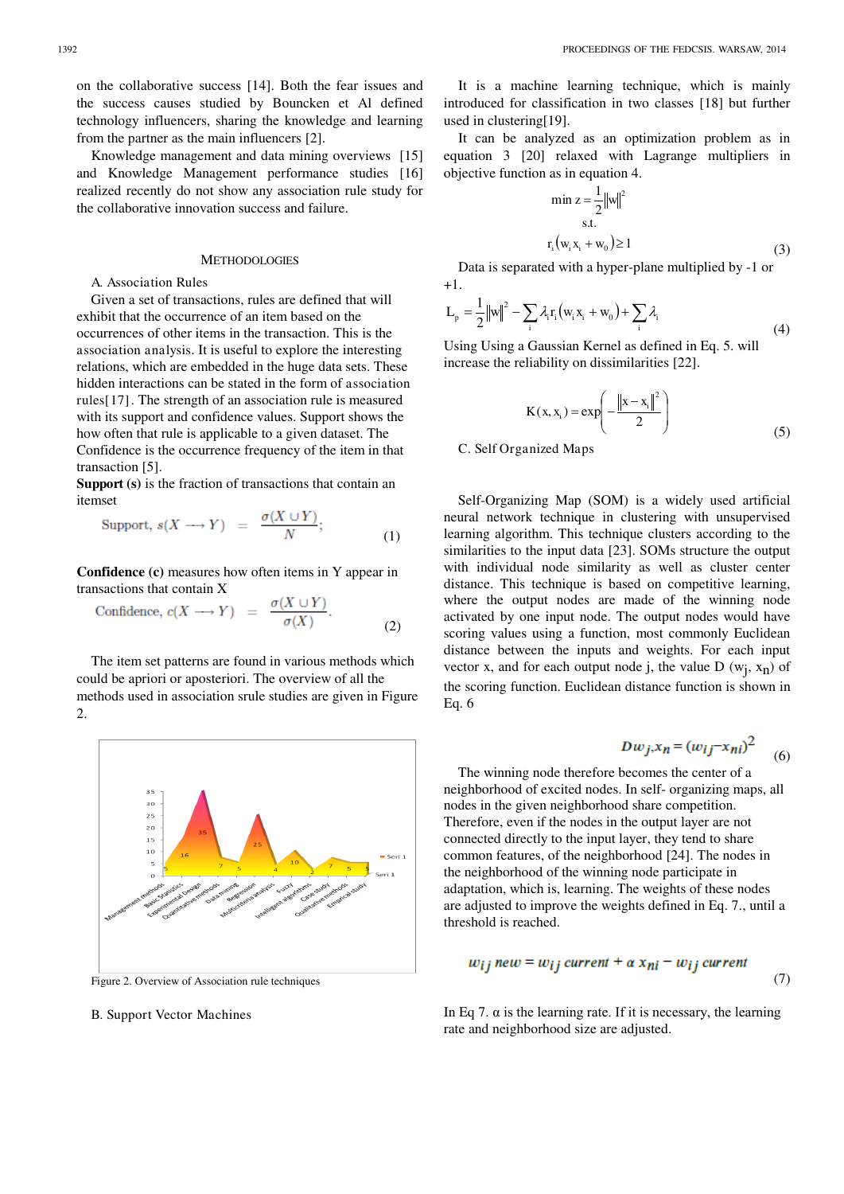on the collaborative success [14]. Both the fear issues and the success causes studied by Bouncken et Al defined technology influencers, sharing the knowledge and learning from the partner as the main influencers [2].

Knowledge management and data mining overviews [15] and Knowledge Management performance studies [16] realized recently do not show any association rule study for the collaborative innovation success and failure.

#### METHODOLOGIES

#### A. Association Rules

 Given a set of transactions, rules are defined that will exhibit that the occurrence of an item based on the occurrences of other items in the transaction. This is the association analysis. It is useful to explore the interesting relations, which are embedded in the huge data sets. These hidden interactions can be stated in the form of association rules[17]. The strength of an association rule is measured with its support and confidence values. Support shows the how often that rule is applicable to a given dataset. The Confidence is the occurrence frequency of the item in that transaction [5].

**Support (s)** is the fraction of transactions that contain an itemset

$$
Support, s(X \longrightarrow Y) = \frac{\sigma(X \cup Y)}{N}; \tag{1}
$$

**Confidence (c)** measures how often items in Y appear in transactions that contain X

Confidence, 
$$
c(X \longrightarrow Y) = \frac{\sigma(X \cup Y)}{\sigma(X)}
$$
. (2)

The item set patterns are found in various methods which could be apriori or aposteriori. The overview of all the methods used in association srule studies are given in Figure 2.



Figure 2. Overview of Association rule techniques

#### B. Support Vector Machines

It is a machine learning technique, which is mainly introduced for classification in two classes [18] but further used in clustering[19].

It can be analyzed as an optimization problem as in equation 3 [20] relaxed with Lagrange multipliers in objective function as in equation 4.

$$
\min z = \frac{1}{2} ||w||^{2}
$$
  
s.t.  

$$
r_{i}(w_{i}x_{i} + w_{0}) \ge 1
$$
 (3)

Data is separated with a hyper-plane multiplied by -1 or  $+1$ .

$$
L_{p} = \frac{1}{2} ||w||^{2} - \sum_{i} \lambda_{i} r_{i} (w_{i} x_{i} + w_{0}) + \sum_{i} \lambda_{i}
$$
\n(4)

Using Using a Gaussian Kernel as defined in Eq. 5. will increase the reliability on dissimilarities [22].

$$
K(x, x_{i}) = exp\left(-\frac{\|x - x_{i}\|^{2}}{2}\right)
$$
 (5)

C. Self Organized Maps

 Self-Organizing Map (SOM) is a widely used artificial neural network technique in clustering with unsupervised learning algorithm. This technique clusters according to the similarities to the input data [23]. SOMs structure the output with individual node similarity as well as cluster center distance. This technique is based on competitive learning, where the output nodes are made of the winning node activated by one input node. The output nodes would have scoring values using a function, most commonly Euclidean distance between the inputs and weights. For each input vector x, and for each output node j, the value  $D(w_j, x_n)$  of the scoring function. Euclidean distance function is shown in Eq. 6

$$
Dw_j x_n = (w_{ij} - x_{ni})^2 \tag{6}
$$

 The winning node therefore becomes the center of a neighborhood of excited nodes. In self- organizing maps, all nodes in the given neighborhood share competition. Therefore, even if the nodes in the output layer are not connected directly to the input layer, they tend to share common features, of the neighborhood [24]. The nodes in the neighborhood of the winning node participate in adaptation, which is, learning. The weights of these nodes are adjusted to improve the weights defined in Eq. 7., until a threshold is reached.

$$
w_{ij} new = w_{ij} current + \alpha x_{ni} - w_{ij} current
$$
\n(7)

In Eq 7.  $\alpha$  is the learning rate. If it is necessary, the learning rate and neighborhood size are adjusted.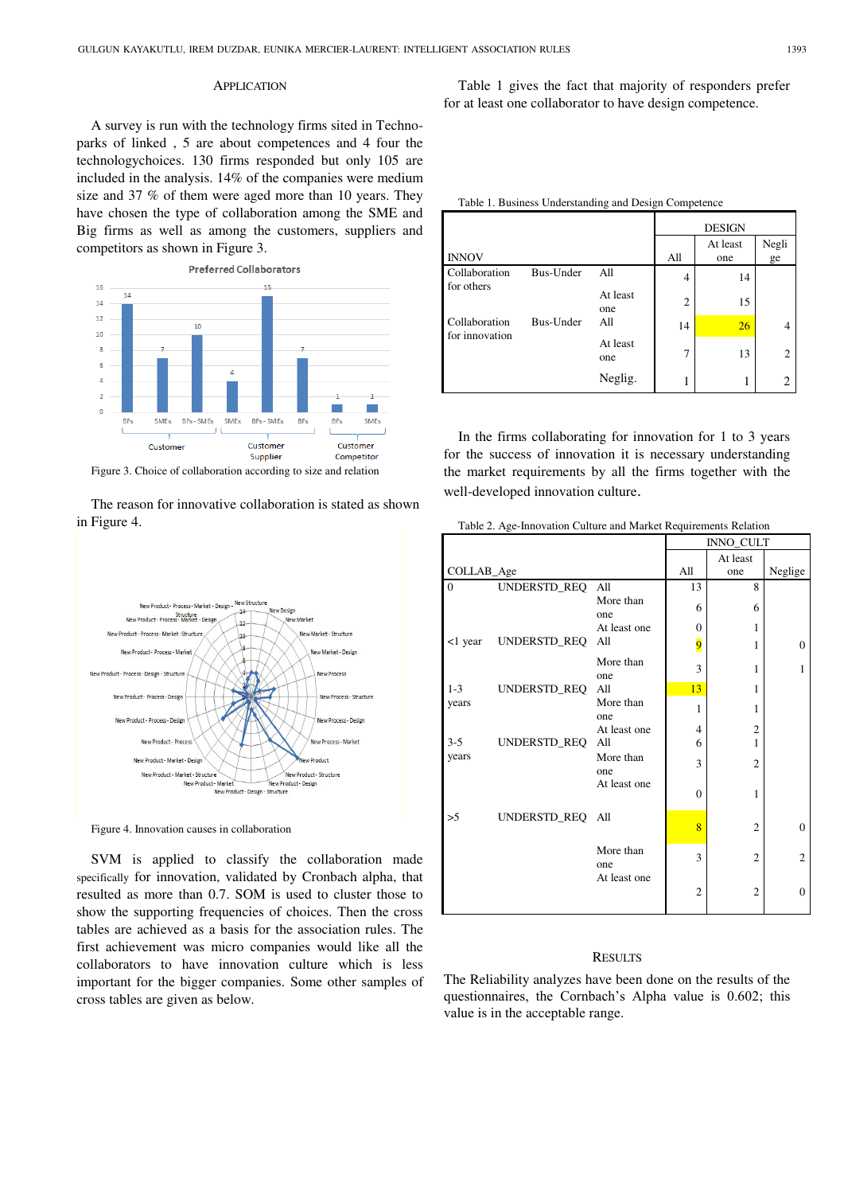#### **APPLICATION**

A survey is run with the technology firms sited in Technoparks of linked , 5 are about competences and 4 four the technologychoices. 130 firms responded but only 105 are included in the analysis. 14% of the companies were medium size and 37 % of them were aged more than 10 years. They have chosen the type of collaboration among the SME and Big firms as well as among the customers, suppliers and competitors as shown in Figure 3.



The reason for innovative collaboration is stated as shown

in Figure 4.

New Structure New Product - Process - Market - Design  $\frac{1}{44}$ New Design Structure<br>New Product - Process - Market - Design **MANER**  $12$ New Product - Process - Market -Structure New Market - Structure  $\overline{10}$ New Product - Process - Marl Vew Market - Design New Product - Process - Design - Structure **New Process** New Product - Process - Design **New Process - Structure** New Product - Process - Design **Vew Process - Design** New Product - Proces lew Process - Market New Product - Market - Desig New Product - Market - Structur New Product - Structure New Product - Design New Product - Market Product - Design - Structure

Figure 4. Innovation causes in collaboration

SVM is applied to classify the collaboration made specifically for innovation, validated by Cronbach alpha, that resulted as more than 0.7. SOM is used to cluster those to show the supporting frequencies of choices. Then the cross tables are achieved as a basis for the association rules. The first achievement was micro companies would like all the collaborators to have innovation culture which is less important for the bigger companies. Some other samples of cross tables are given as below.

Table 1 gives the fact that majority of responders prefer for at least one collaborator to have design competence.

|  | Table 1. Business Understanding and Design Competence |
|--|-------------------------------------------------------|
|  |                                                       |

|                                              |           |                 | <b>DESIGN</b>  |                 |                |  |
|----------------------------------------------|-----------|-----------------|----------------|-----------------|----------------|--|
| <b>INNOV</b>                                 |           |                 | All            | At least<br>one | Negli<br>ge    |  |
| Collaboration<br>for others                  | Bus-Under | All             | $\overline{4}$ | 14              |                |  |
|                                              |           | At least<br>one | $\overline{c}$ | 15              |                |  |
| Collaboration<br>Bus-Under<br>for innovation | A11       | 14              | 26             | 4               |                |  |
|                                              |           | At least<br>one | $\overline{7}$ | 13              | $\overline{2}$ |  |
|                                              |           | Neglig.         |                |                 | $\overline{2}$ |  |

In the firms collaborating for innovation for 1 to 3 years for the success of innovation it is necessary understanding the market requirements by all the firms together with the well-developed innovation culture.

Table 2. Age-Innovation Culture and Market Requirements Relation

|                |                  |                  | Table 2. Age-hinovation culture and imalited requirements relation<br>INNO_CULT |                |                |  |
|----------------|------------------|------------------|---------------------------------------------------------------------------------|----------------|----------------|--|
|                |                  |                  | At least                                                                        |                |                |  |
| COLLAB_Age     |                  |                  | All                                                                             | one            | Neglige        |  |
| $\overline{0}$ | UNDERSTD_REQ All |                  | 13                                                                              | 8              |                |  |
|                |                  | More than<br>one | 6                                                                               | 6              |                |  |
|                |                  | At least one     | $\mathbf{0}$                                                                    | 1              |                |  |
| <1 year        | UNDERSTD_REQ All |                  | $\overline{9}$                                                                  | 1              | $\theta$       |  |
|                |                  | More than<br>one | 3                                                                               | 1              | 1              |  |
| $1 - 3$        | UNDERSTD_REQ All |                  | 13                                                                              | 1              |                |  |
| years          |                  | More than<br>one | 1                                                                               | 1              |                |  |
|                |                  | At least one     | $\overline{4}$                                                                  | $\overline{2}$ |                |  |
| $3 - 5$        | UNDERSTD_REQ All |                  | 6                                                                               | 1              |                |  |
| years          |                  | More than<br>one | 3                                                                               | $\overline{2}$ |                |  |
|                |                  | At least one     | $\theta$                                                                        | 1              |                |  |
| >5             | UNDERSTD_REQ All |                  | 8                                                                               | $\overline{2}$ | $\overline{0}$ |  |
|                |                  | More than<br>one | 3                                                                               | $\overline{2}$ | $\overline{2}$ |  |
|                |                  | At least one     | $\overline{2}$                                                                  | $\overline{2}$ | $\overline{0}$ |  |

#### **RESULTS**

The Reliability analyzes have been done on the results of the questionnaires, the Cornbach's Alpha value is 0.602; this value is in the acceptable range.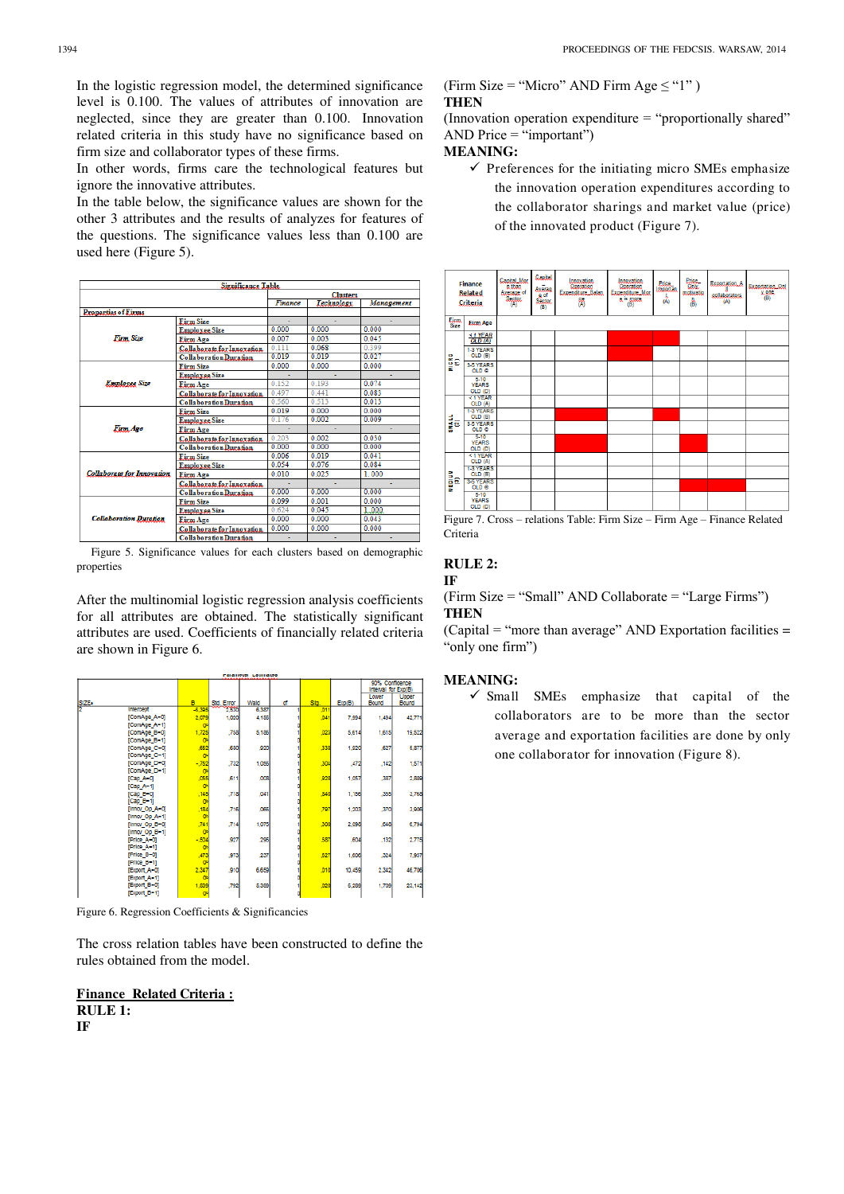In the logistic regression model, the determined significance level is 0.100. The values of attributes of innovation are neglected, since they are greater than 0.100. Innovation related criteria in this study have no significance based on firm size and collaborator types of these firms.

In other words, firms care the technological features but ignore the innovative attributes.

In the table below, the significance values are shown for the other 3 attributes and the results of analyzes for features of the questions. The significance values less than 0.100 are used here (Figure 5).

|                                   | <b>Significance Table</b>     |         |                 |                |
|-----------------------------------|-------------------------------|---------|-----------------|----------------|
|                                   |                               |         | <b>Clusters</b> |                |
|                                   |                               | Finance | Technology      | Management     |
| <b>Properties of Firms</b>        |                               |         |                 |                |
|                                   | <b>Firm Size</b>              |         |                 |                |
|                                   | <b>Employee Size</b>          | 0.000   | 0.000           | 0.000          |
| Firm Size                         | <b>Eirm</b> Age               | 0.007   | 0.003           | 0.045          |
|                                   | Collaborate for Innovation    | 0.111   | 0.068           | 0.399          |
|                                   | <b>Collaboration Duration</b> | 0.019   | 0.019           | 0.027          |
|                                   | <b>Firm Size</b>              | 0.000   | 0.000           | 0.000          |
|                                   | Employee Size                 |         | ٠               | $\blacksquare$ |
| <b>Employee Size</b>              | <b>Firm Age</b>               | 0.152   | 0.193           | 0.074          |
|                                   | Collaborate for Innovation    | 0.497   | 0.441           | 0.083          |
|                                   | <b>Collaboration Duration</b> | 0.560   | 0.513           | 0.013          |
|                                   | <b>Firm Size</b>              | 0.019   | 0.000           | 0.000          |
|                                   | <b>Employee Size</b>          | 0.176   | 0.002           | 0.009          |
| Firm Age                          | <b>Firm Age</b>               |         |                 | ٠              |
|                                   | Collaborate for Innovation    | 0.203   | 0.002           | 0.030          |
|                                   | <b>Collaboration Duration</b> | 0.000   | 0.000           | 0.000          |
|                                   | <b>Firm Size</b>              | 0.006   | 0.019           | 0.041          |
|                                   | <b>Employee Size</b>          | 0.054   | 0.076           | 0.084          |
| <b>Collaborate for Innovation</b> | <b>Firm Age</b>               | 0.010   | 0.025           | 1.000          |
|                                   | Collaborate for Innoxation    |         |                 | ٠              |
|                                   | <b>Collaboration Duration</b> | 0.000   | 0.000           | 0.000          |
|                                   | <b>Firm Size</b>              | 0.099   | 0.001           | 0.000          |
|                                   | <b>Employee Size</b>          | 0.624   | 0.045           | 1.000          |
| <b>Collaboration Duration</b>     | <b>Firm Age</b>               | 0.000   | 0.000           | 0.043          |
|                                   | Collaborate for Innovation    | 0.000   | 0.000           | 0.000          |
|                                   | <b>Collaboration Duration</b> | ۰       |                 | ۰              |

Figure 5. Significance values for each clusters based on demographic properties

After the multinomial logistic regression analysis coefficients for all attributes are obtained. The statistically significant attributes are used. Coefficients of financially related criteria are shown in Figure 6.

**Calameter Laumaue** 

|       |                  |          |            |       |   |      |        | 90% Confidence<br>Interval for Exp(B) |        |
|-------|------------------|----------|------------|-------|---|------|--------|---------------------------------------|--------|
|       |                  |          |            |       |   |      |        | Lower                                 | Upper  |
| SIZE. |                  | в        | Std. Error | Wald  | ď | Sla. | Exp(B) | Bound                                 | Bound  |
|       | <b>Intercept</b> | $-6.395$ | 2536       | 6.387 |   | .011 |        |                                       |        |
|       | [ComAge_A-0]     | 2,079    | 1.020      | 4.156 |   | .041 | 7.994  | 1,494                                 | 42,771 |
|       | [ComAge_A-1]     | o        |            |       |   |      |        |                                       |        |
|       | [ComAge_B=0]     | 1,725    | ,758       | 5.186 |   | .023 | 5,614  | 1,615                                 | 19,522 |
|       | [ComAge B-1]     | o        |            |       |   |      |        |                                       |        |
|       | [ComAge_C=0]     | ,652     | .680       | ,920  |   | 338  | 1.920  | .627                                  | 5,877  |
|       | [ComAge_C-1]     | $\sigma$ |            |       |   |      |        |                                       |        |
|       | [ComAge_D=0]     | $-752$   | .732       | 1,056 |   | .304 | ,472   | .142                                  | 1,571  |
|       | [ComAge_D-1]     | o        |            |       |   |      |        |                                       |        |
|       | [Cap A-0]        | ,055     | .611       | ,008  |   | 928  | 1,057  | ,387                                  | 2,889  |
|       | $[Cap A-1]$      | o        |            |       |   |      |        |                                       |        |
|       | [Cap B-0]        | .145     | .718       | .041  |   | 840  | 1,156  | 355                                   | 3.768  |
|       | $[Cap_1B-1]$     | o        |            |       |   |      |        |                                       |        |
|       | [Innov_Op_A-0]   | ,184     | .716       | ,066  |   | .797 | 1,203  | ,370                                  | 3,908  |
|       | [Innov_Op_A=1]   | o        |            |       |   |      |        |                                       |        |
|       | [Innov_Op_B-0]   | .741     | .714       | 1.075 |   | .300 | 2.098  | 648                                   | 6,794  |
|       | [Innov Op B-1]   | o        |            |       |   |      |        |                                       |        |
|       | [Price A-0]      | $-504$   | ,927       | ,296  |   | ,587 | .604   | ,132                                  | 2,775  |
|       | [Price_A-1]      | o        |            |       |   |      |        |                                       |        |
|       | [Price_B-0]      | ,473     | 973        | ,237  |   | .627 | 1,606  | .324                                  | 7,957  |
|       | [Price_B-1]      | o        |            |       |   |      |        |                                       |        |
|       | [Export A-0]     | 2,347    | 910        | 6,659 |   | ,010 | 10,459 | 2,342                                 | 46,706 |
|       | [Export A-1]     | o        |            |       |   |      |        |                                       |        |
|       | [Export B-0]     | 1,839    | .792       | 5,389 |   | ,020 | 6,289  | 1,709                                 | 23,142 |
|       | [Export_B-1]     | $\sigma$ |            |       |   |      |        |                                       |        |

Figure 6. Regression Coefficients & Significancies

The cross relation tables have been constructed to define the rules obtained from the model.

**Finance Related Criteria : RULE 1: IF** 

#### (Firm Size = "Micro" AND Firm Age  $\le$  "1") **THEN**

(Innovation operation expenditure  $=$  "proportionally shared" AND Price  $=$  "important")

#### **MEANING:**

 $\checkmark$  Preferences for the initiating micro SMEs emphasize the innovation operation expenditures according to the collaborator sharings and market value (price) of the innovated product (Figure 7).



Figure 7. Cross – relations Table: Firm Size – Firm Age – Finance Related Criteria

#### **RULE 2: IF**

(Firm Size = "Small" AND Collaborate = "Large Firms") **THEN** 

 $(Capital = "more than average" AND Exportation facilities =$ "only one firm")

#### **MEANING:**

 $\checkmark$  Small SMEs emphasize that capital of the collaborators are to be more than the sector average and exportation facilities are done by only one collaborator for innovation (Figure 8).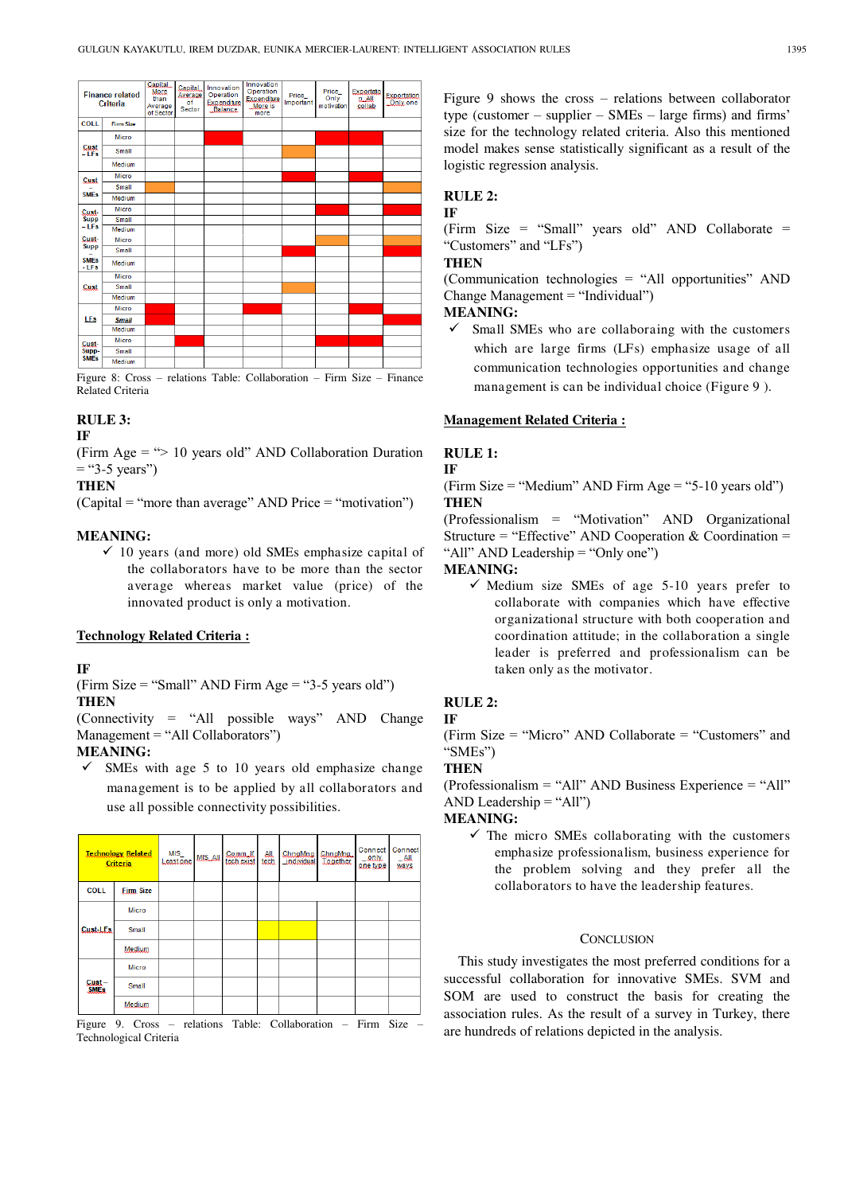

Figure 8: Cross – relations Table: Collaboration – Firm Size – Finance Related Criteria

# **RULE 3:**

#### **IF**

(Firm Age  $=$  " $> 10$  years old" AND Collaboration Duration  $=$  "3-5 years")

# **THEN**

 $(Capital = "more than average" AND Price = "motion")$ 

# **MEANING:**

 $\checkmark$  10 years (and more) old SMEs emphasize capital of the collaborators have to be more than the sector average whereas market value (price) of the innovated product is only a motivation.

#### **Technology Related Criteria :**

#### **IF**

(Firm Size = "Small" AND Firm Age = "3-5 years old") **THEN** 

(Connectivity  $=$  "All possible ways" AND Change Management = "All Collaborators")

## **MEANING:**

 $\checkmark$  SMEs with age 5 to 10 years old emphasize change management is to be applied by all collaborators and use all possible connectivity possibilities.

| <b>Technology Related</b><br>Criteria |                  | MIS<br>Leastone | <b>MIS_AII</b> | Commult<br>tech exist | <b>All</b><br>tech | ChnaMna<br>individual | ChngMng<br><b>Together</b> | Connect<br>$=$ only.<br><u>one type</u> | Connect<br>$-$ All<br>ways |
|---------------------------------------|------------------|-----------------|----------------|-----------------------|--------------------|-----------------------|----------------------------|-----------------------------------------|----------------------------|
| <b>COLL</b>                           | <b>Firm Size</b> |                 |                |                       |                    |                       |                            |                                         |                            |
| <b>Cust-LFs</b>                       | Micro            |                 |                |                       |                    |                       |                            |                                         |                            |
|                                       | Small            |                 |                |                       |                    |                       |                            |                                         |                            |
|                                       | Medium           |                 |                |                       |                    |                       |                            |                                         |                            |
| Cust-<br><b>SME<sub>s</sub></b>       | Micro            |                 |                |                       |                    |                       |                            |                                         |                            |
|                                       | Small            |                 |                |                       |                    |                       |                            |                                         |                            |
|                                       | Medium           |                 |                |                       |                    |                       |                            |                                         |                            |

Figure 9. Cross – relations Table: Collaboration – Firm Size – Technological Criteria

Figure 9 shows the cross – relations between collaborator type (customer – supplier – SMEs – large firms) and firms' size for the technology related criteria. Also this mentioned model makes sense statistically significant as a result of the logistic regression analysis.

#### **RULE 2: IF**

(Firm Size = "Small" years old" AND Collaborate = "Customers" and "LFs")

# **THEN**

(Communication technologies  $=$  "All opportunities" AND Change Management  $=$  "Individual")

# **MEANING:**

 $\checkmark$  Small SMEs who are collaboraing with the customers which are large firms (LFs) emphasize usage of all communication technologies opportunities and change management is can be individual choice (Figure 9 ).

#### **Management Related Criteria :**

# **RULE 1:**

# (Firm Size = "Medium" AND Firm Age = "5-10 years old")

#### **THEN**

**IF** 

(Professionalism = "Motivation" AND Organizational Structure = "Effective" AND Cooperation  $\&$  Coordination = "All" AND Leadership  $=$  "Only one")

# **MEANING:**

 $\checkmark$  Medium size SMEs of age 5-10 years prefer to collaborate with companies which have effective organizational structure with both cooperation and coordination attitude; in the collaboration a single leader is preferred and professionalism can be taken only as the motivator.

# **RULE 2:**

#### **IF**

(Firm Size = "Micro" AND Collaborate = "Customers" and "SMEs")

#### **THEN**

 $(Professionalism = "All" AND Business Experience = "All"$ AND Leadership  $=$  "All")

#### **MEANING:**

 $\checkmark$  The micro SMEs collaborating with the customers emphasize professionalism, business experience for the problem solving and they prefer all the collaborators to have the leadership features.

#### **CONCLUSION**

This study investigates the most preferred conditions for a successful collaboration for innovative SMEs. SVM and SOM are used to construct the basis for creating the association rules. As the result of a survey in Turkey, there are hundreds of relations depicted in the analysis.